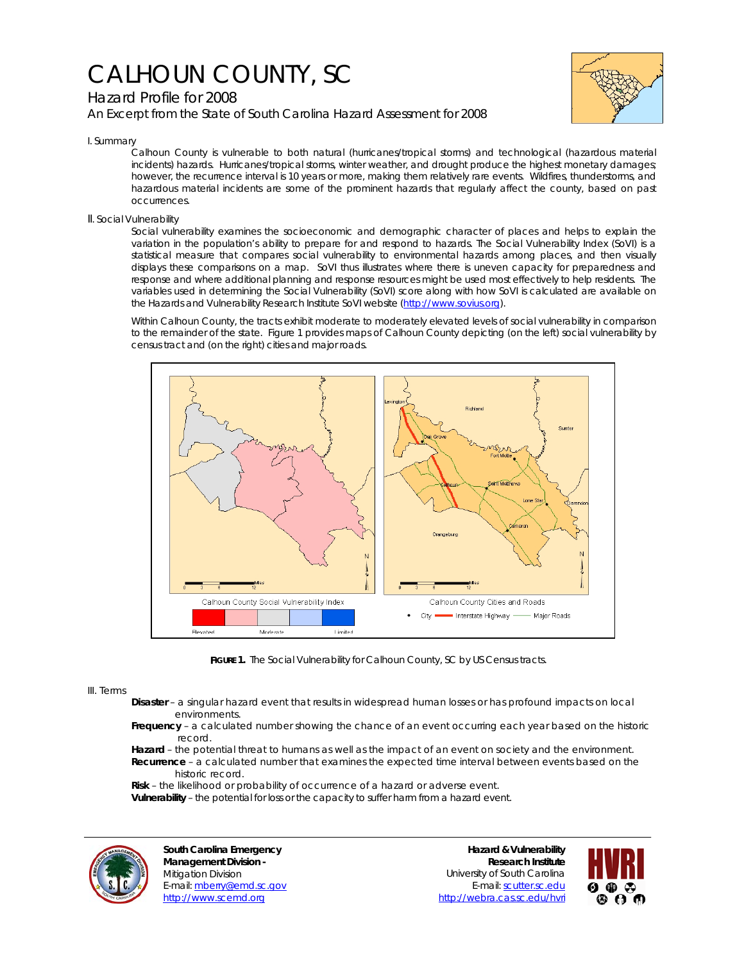# CALHOUN COUNTY, SC

# Hazard Profile for 2008

*An Excerpt from the State of South Carolina Hazard Assessment for 2008*



I. Summary

Calhoun County is vulnerable to both natural (hurricanes/tropical storms) and technological (hazardous material incidents) hazards. Hurricanes/tropical storms, winter weather, and drought produce the highest monetary damages; however, the recurrence interval is 10 years or more, making them relatively rare events. Wildfires, thunderstorms, and hazardous material incidents are some of the prominent hazards that regularly affect the county, based on past occurrences.

## II. Social Vulnerability

Social vulnerability examines the socioeconomic and demographic character of places and helps to explain the variation in the population's ability to prepare for and respond to hazards. The Social Vulnerability Index (SoVI) is a statistical measure that compares social vulnerability to environmental hazards among places, and then visually displays these comparisons on a map. SoVI thus illustrates where there is uneven capacity for preparedness and response and where additional planning and response resources might be used most effectively to help residents. The variables used in determining the Social Vulnerability (SoVI) score along with how SoVI is calculated are available on the Hazards and Vulnerability Research Institute SoVI website (http://www.sovius.org).

Within Calhoun County, the tracts exhibit moderate to moderately elevated levels of social vulnerability in comparison to the remainder of the state. Figure 1 provides maps of Calhoun County depicting (on the left) social vulnerability by census tract and (on the right) cities and major roads.



FIGURE 1. The Social Vulnerability for Calhoun County, SC by US Census tracts.

### III. Terms

- **Disaster** a singular hazard event that results in widespread human losses or has profound impacts on local environments.
- **Frequency** a calculated number showing the chance of an event occurring each year based on the historic record.
- **Hazard** the potential threat to humans as well as the impact of an event on society and the environment.  **Recurrence** – a calculated number that examines the expected time interval between events based on the historic record.
- **Risk** the likelihood or probability of occurrence of a hazard or adverse event.  **Vulnerability** – the potential for loss or the capacity to suffer harm from a hazard event.



**South Carolina Emergency Management Division -**  Mitigation Division E-mail: mberry@emd.sc.gov http://www.scemd.org

**Hazard & Vulnerability Research Institute**  University of South Carolina E-mail: scutter.sc.edu http://webra.cas.sc.edu/hvri

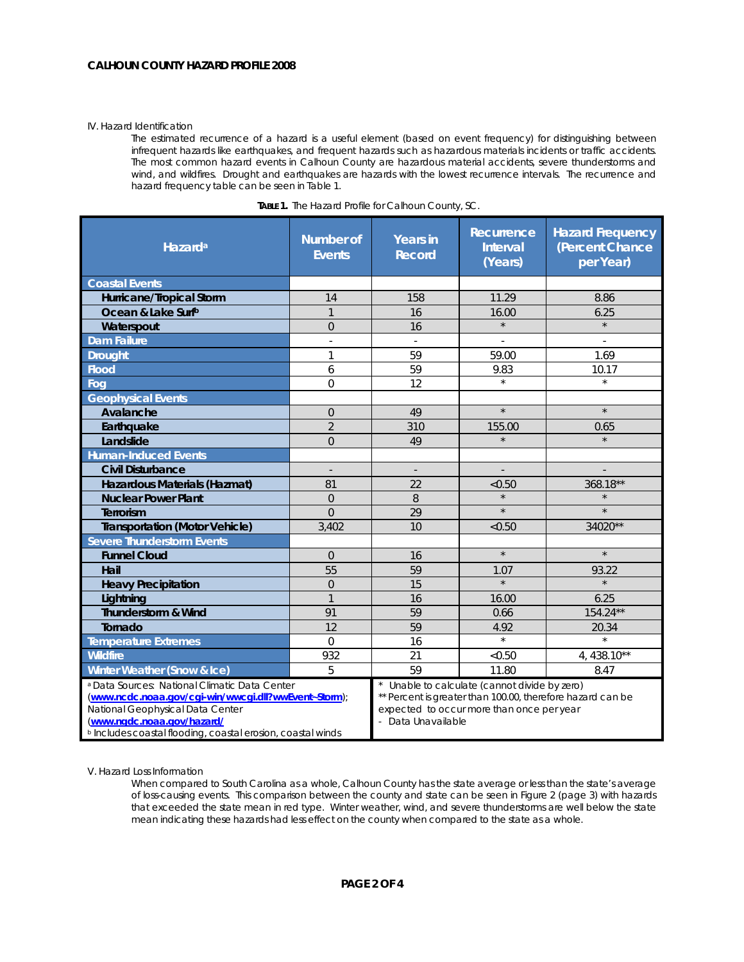#### IV. Hazard Identification

The estimated recurrence of a hazard is a useful element (based on event frequency) for distinguishing between infrequent hazards like earthquakes, and frequent hazards such as hazardous materials incidents or traffic accidents. The most common hazard events in Calhoun County are hazardous material accidents, severe thunderstorms and wind, and wildfires. Drought and earthquakes are hazards with the lowest recurrence intervals. The recurrence and hazard frequency table can be seen in Table 1.

| Hazard <sup>a</sup>                                                                                                                                                                                                                               | <b>Number of</b><br><b>Events</b> | <b>Years in</b><br><b>Record</b>                                                                                                                                             | Recurrence<br><b>Interval</b><br>(Years) | <b>Hazard Frequency</b><br>(Percent Chance<br>per Year) |
|---------------------------------------------------------------------------------------------------------------------------------------------------------------------------------------------------------------------------------------------------|-----------------------------------|------------------------------------------------------------------------------------------------------------------------------------------------------------------------------|------------------------------------------|---------------------------------------------------------|
| <b>Coastal Events</b>                                                                                                                                                                                                                             |                                   |                                                                                                                                                                              |                                          |                                                         |
| Hurricane/Tropical Storm                                                                                                                                                                                                                          | 14                                | 158                                                                                                                                                                          | 11.29                                    | 8.86                                                    |
| Ocean & Lake Surfb                                                                                                                                                                                                                                | $\mathbf{1}$                      | 16                                                                                                                                                                           | 16.00                                    | 6.25                                                    |
| Waterspout                                                                                                                                                                                                                                        | $\Omega$                          | 16                                                                                                                                                                           | $\star$                                  | $\star$                                                 |
| Dam Failure                                                                                                                                                                                                                                       | ×,                                | $\sim$                                                                                                                                                                       | ä,                                       | $\sim$                                                  |
| <b>Drought</b>                                                                                                                                                                                                                                    | $\mathbf{1}$                      | 59                                                                                                                                                                           | 59.00                                    | 1.69                                                    |
| <b>Flood</b>                                                                                                                                                                                                                                      | 6                                 | 59                                                                                                                                                                           | 9.83                                     | 10.17                                                   |
| Fog                                                                                                                                                                                                                                               | $\mathbf 0$                       | 12                                                                                                                                                                           | $\star$                                  | $\star$                                                 |
| <b>Geophysical Events</b>                                                                                                                                                                                                                         |                                   |                                                                                                                                                                              |                                          |                                                         |
| Avalanche                                                                                                                                                                                                                                         | $\overline{0}$                    | 49                                                                                                                                                                           | $\star$                                  | $\star$                                                 |
| Earthquake                                                                                                                                                                                                                                        | $\overline{2}$                    | 310                                                                                                                                                                          | 155.00                                   | 0.65                                                    |
| Landslide                                                                                                                                                                                                                                         | $\overline{0}$                    | 49                                                                                                                                                                           | $\star$                                  |                                                         |
| <b>Human-Induced Events</b>                                                                                                                                                                                                                       |                                   |                                                                                                                                                                              |                                          |                                                         |
| <b>Civil Disturbance</b>                                                                                                                                                                                                                          | $\overline{\phantom{a}}$          | $\overline{\phantom{a}}$                                                                                                                                                     | $\overline{\phantom{a}}$                 |                                                         |
| Hazardous Materials (Hazmat)                                                                                                                                                                                                                      | 81                                | 22                                                                                                                                                                           | < 0.50                                   | 368.18**                                                |
| <b>Nuclear Power Plant</b>                                                                                                                                                                                                                        | $\overline{0}$                    | 8                                                                                                                                                                            |                                          |                                                         |
| Terrorism                                                                                                                                                                                                                                         | $\Omega$                          | 29                                                                                                                                                                           | $\star$                                  | $\star$                                                 |
| <b>Transportation (Motor Vehicle)</b>                                                                                                                                                                                                             | 3,402                             | 10                                                                                                                                                                           | < 0.50                                   | 34020**                                                 |
| <b>Severe Thunderstorm Events</b>                                                                                                                                                                                                                 |                                   |                                                                                                                                                                              |                                          |                                                         |
| <b>Funnel Cloud</b>                                                                                                                                                                                                                               | $\Omega$                          | 16                                                                                                                                                                           | $\star$                                  | $\star$                                                 |
| Hail                                                                                                                                                                                                                                              | 55                                | 59                                                                                                                                                                           | 1.07                                     | 93.22                                                   |
| <b>Heavy Precipitation</b>                                                                                                                                                                                                                        | $\overline{0}$                    | 15                                                                                                                                                                           | $\star$                                  | $\star$                                                 |
| Lightning                                                                                                                                                                                                                                         | $\overline{1}$                    | 16                                                                                                                                                                           | 16.00                                    | 6.25                                                    |
| <b>Thunderstorm &amp; Wind</b>                                                                                                                                                                                                                    | 91                                | 59                                                                                                                                                                           | 0.66                                     | 154.24**                                                |
| Tornado                                                                                                                                                                                                                                           | 12                                | 59                                                                                                                                                                           | 4.92                                     | 20.34                                                   |
| <b>Temperature Extremes</b>                                                                                                                                                                                                                       | $\overline{0}$                    | 16                                                                                                                                                                           | $\star$                                  | $\star$                                                 |
| <b>Wildfire</b>                                                                                                                                                                                                                                   | 932                               | 21                                                                                                                                                                           | < 0.50                                   | 4, 438.10**                                             |
| Winter Weather (Snow & Ice)                                                                                                                                                                                                                       | 5                                 | 59                                                                                                                                                                           | 11.80                                    | 8.47                                                    |
| a Data Sources: National Climatic Data Center<br>(www.ncdc.noaa.gov/cgi-win/wwcgi.dll?wwEvent~Storm);<br>National Geophysical Data Center<br>(www.ngdc.noaa.gov/hazard/<br><sup>b</sup> Includes coastal flooding, coastal erosion, coastal winds |                                   | Unable to calculate (cannot divide by zero)<br>** Percent is greater than 100.00, therefore hazard can be<br>expected to occur more than once per year<br>- Data Unavailable |                                          |                                                         |

|  |  | TABLE 1. The Hazard Profile for Calhoun County, SC. |
|--|--|-----------------------------------------------------|
|  |  |                                                     |

V. Hazard Loss Information

When compared to South Carolina as a whole, Calhoun County has the state average or less than the state's average of loss-causing events. This comparison between the county and state can be seen in Figure 2 (page 3) with hazards that exceeded the state mean in red type. Winter weather, wind, and severe thunderstorms are well below the state mean indicating these hazards had less effect on the county when compared to the state as a whole.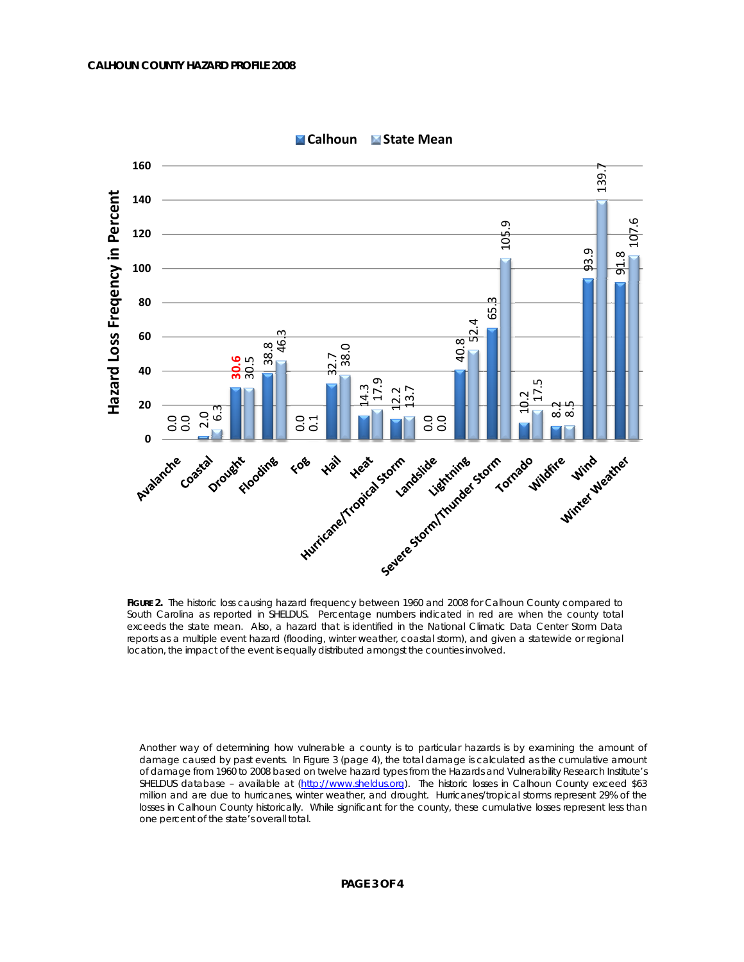

**Calhoun State Mean**

FIGURE 2. The historic loss causing hazard frequency between 1960 and 2008 for Calhoun County compared to South Carolina as reported in SHELDUS. Percentage numbers indicated in red are when the county total exceeds the state mean. Also, a hazard that is identified in the National Climatic Data Center Storm Data reports as a multiple event hazard (flooding, winter weather, coastal storm), and given a statewide or regional location, the impact of the event is equally distributed amongst the counties involved.

Another way of determining how vulnerable a county is to particular hazards is by examining the amount of damage caused by past events. In Figure 3 (page 4), the total damage is calculated as the cumulative amount of damage from 1960 to 2008 based on twelve hazard types from the Hazards and Vulnerability Research Institute's SHELDUS database - available at (http://www.sheldus.org). The historic losses in Calhoun County exceed \$63 million and are due to hurricanes, winter weather, and drought. Hurricanes/tropical storms represent 29% of the losses in Calhoun County historically. While significant for the county, these cumulative losses represent less than one percent of the state's overall total.